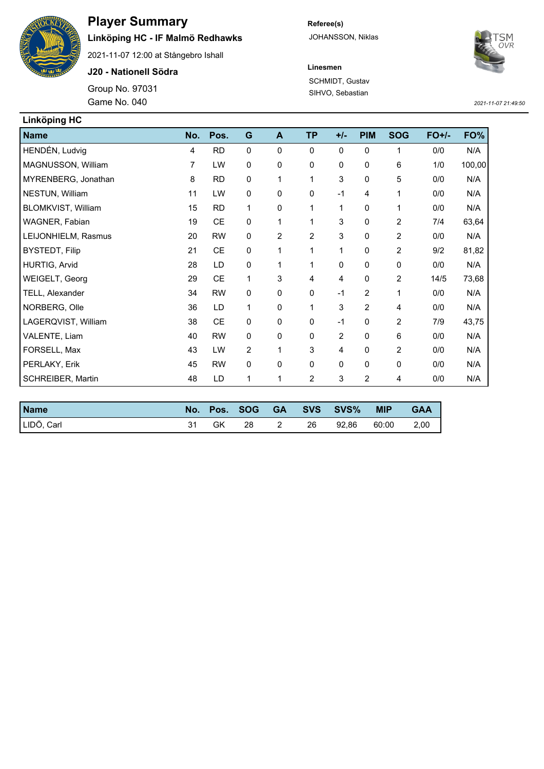

## **Player Summary**

## **Linköping HC - IF Malmö Redhawks**

2021-11-07 12:00 at Stångebro Ishall

**J20 - Nationell Södra**

Game No. 040 Group No. 97031 **Referee(s)** JOHANSSON, Niklas



**Linesmen** SCHMIDT, Gustav SIHVO, Sebastian

*2021-11-07 21:49:50*

| <b>Linköping HC</b>   |     |               |             |                |                |                |                |                |         |        |
|-----------------------|-----|---------------|-------------|----------------|----------------|----------------|----------------|----------------|---------|--------|
| <b>Name</b>           | No. | Pos.          | G           | A              | <b>TP</b>      | $+/-$          | <b>PIM</b>     | <b>SOG</b>     | $FO+/-$ | FO%    |
| HENDÉN, Ludvig        | 4   | <b>RD</b>     | $\mathbf 0$ | 0              | $\mathbf 0$    | 0              | $\mathbf 0$    | 1              | 0/0     | N/A    |
| MAGNUSSON, William    | 7   | LW            | $\mathbf 0$ | $\mathbf 0$    | 0              | 0              | 0              | 6              | 1/0     | 100,00 |
| MYRENBERG, Jonathan   | 8   | <b>RD</b>     | $\pmb{0}$   | 1              | 1              | 3              | 0              | 5              | 0/0     | N/A    |
| NESTUN, William       | 11  | LW            | $\mathbf 0$ | $\mathbf{0}$   | $\mathbf 0$    | $-1$           | 4              | 1              | 0/0     | N/A    |
| BLOMKVIST, William    | 15  | <b>RD</b>     | 1           | 0              | 1              | 1              | 0              | 1              | 0/0     | N/A    |
| WAGNER, Fabian        | 19  | <b>CE</b>     | $\mathbf 0$ | 1              | 1              | 3              | 0              | 2              | 7/4     | 63,64  |
| LEIJONHIELM, Rasmus   | 20  | <b>RW</b>     | $\mathbf 0$ | $\overline{2}$ | $\overline{2}$ | 3              | 0              | 2              | 0/0     | N/A    |
| <b>BYSTEDT, Filip</b> | 21  | $\mathsf{CE}$ | 0           |                | 1              | 1              | 0              | 2              | 9/2     | 81,82  |
| HURTIG, Arvid         | 28  | LD            | $\mathbf 0$ |                | 1              | 0              | 0              | 0              | 0/0     | N/A    |
| WEIGELT, Georg        | 29  | <b>CE</b>     | 1           | 3              | 4              | 4              | 0              | $\overline{2}$ | 14/5    | 73,68  |
| TELL, Alexander       | 34  | <b>RW</b>     | $\mathbf 0$ | 0              | $\mathbf 0$    | $-1$           | $\overline{c}$ | 1              | 0/0     | N/A    |
| NORBERG, Olle         | 36  | LD            | 1           | $\mathbf{0}$   | 1              | 3              | $\overline{2}$ | 4              | 0/0     | N/A    |
| LAGERQVIST, William   | 38  | <b>CE</b>     | $\mathbf 0$ | 0              | $\mathbf 0$    | $-1$           | 0              | 2              | 7/9     | 43,75  |
| VALENTE, Liam         | 40  | <b>RW</b>     | $\mathbf 0$ | $\mathbf{0}$   | $\mathbf 0$    | $\overline{2}$ | 0              | 6              | 0/0     | N/A    |
| FORSELL, Max          | 43  | LW            | 2           | 1              | 3              | 4              | 0              | $\overline{2}$ | 0/0     | N/A    |
| PERLAKY, Erik         | 45  | <b>RW</b>     | $\mathbf 0$ | $\mathbf 0$    | $\mathbf 0$    | 0              | 0              | $\mathbf 0$    | 0/0     | N/A    |
| SCHREIBER, Martin     | 48  | LD            | 1           | 1              | $\overline{2}$ | 3              | $\overline{2}$ | 4              | 0/0     | N/A    |

| <b>Name</b> |    |    |      | No. Pos. SOG GA SVS SVS% | <b>MIP</b> | <b>GAA</b> |
|-------------|----|----|------|--------------------------|------------|------------|
| LIDÖ, Carl  | GK | 28 | - 26 | 92.86                    | 60:00      | 2.00       |